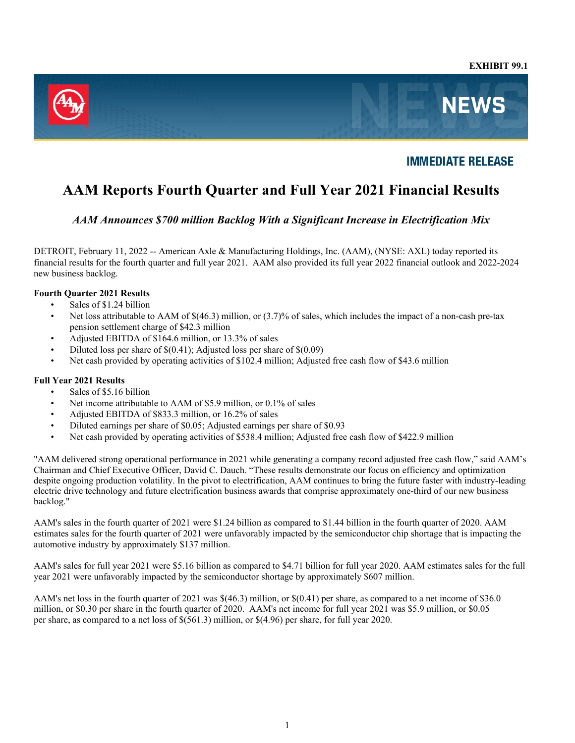### **EXHIBIT 99.1**



# **IMMEDIATE RELEASE**

# **AAM Reports Fourth Quarter and Full Year 2021 Financial Results**

# *AAM Announces \$700 million Backlog With a Significant Increase in Electrification Mix*

DETROIT, February 11, 2022 -- American Axle & Manufacturing Holdings, Inc. (AAM), (NYSE: AXL) today reported its financial results for the fourth quarter and full year 2021. AAM also provided its full year 2022 financial outlook and 2022-2024 new business backlog.

### **Fourth Quarter 2021 Results**

- Sales of \$1.24 billion
- Net loss attributable to AAM of  $$(46.3)$  million, or  $(3.7)%$  of sales, which includes the impact of a non-cash pre-tax pension settlement charge of \$42.3 million
- Adjusted EBITDA of \$164.6 million, or 13.3% of sales
- Diluted loss per share of \$(0.41); Adjusted loss per share of \$(0.09)
- Net cash provided by operating activities of \$102.4 million; Adjusted free cash flow of \$43.6 million

### **Full Year 2021 Results**

- Sales of \$5.16 billion
- Net income attributable to AAM of \$5.9 million, or 0.1% of sales
- Adjusted EBITDA of \$833.3 million, or 16.2% of sales
- Diluted earnings per share of \$0.05; Adjusted earnings per share of \$0.93
- Net cash provided by operating activities of \$538.4 million; Adjusted free cash flow of \$422.9 million

"AAM delivered strong operational performance in 2021 while generating a company record adjusted free cash flow," said AAM's Chairman and Chief Executive Officer, David C. Dauch. "These results demonstrate our focus on efficiency and optimization despite ongoing production volatility. In the pivot to electrification, AAM continues to bring the future faster with industry-leading electric drive technology and future electrification business awards that comprise approximately one-third of our new business backlog."

AAM's sales in the fourth quarter of 2021 were \$1.24 billion as compared to \$1.44 billion in the fourth quarter of 2020. AAM estimates sales for the fourth quarter of 2021 were unfavorably impacted by the semiconductor chip shortage that is impacting the automotive industry by approximately \$137 million.

AAM's sales for full year 2021 were \$5.16 billion as compared to \$4.71 billion for full year 2020. AAM estimates sales for the full year 2021 were unfavorably impacted by the semiconductor shortage by approximately \$607 million.

AAM's net loss in the fourth quarter of 2021 was \$(46.3) million, or \$(0.41) per share, as compared to a net income of \$36.0 million, or \$0.30 per share in the fourth quarter of 2020. AAM's net income for full year 2021 was \$5.9 million, or \$0.05 per share, as compared to a net loss of \$(561.3) million, or \$(4.96) per share, for full year 2020.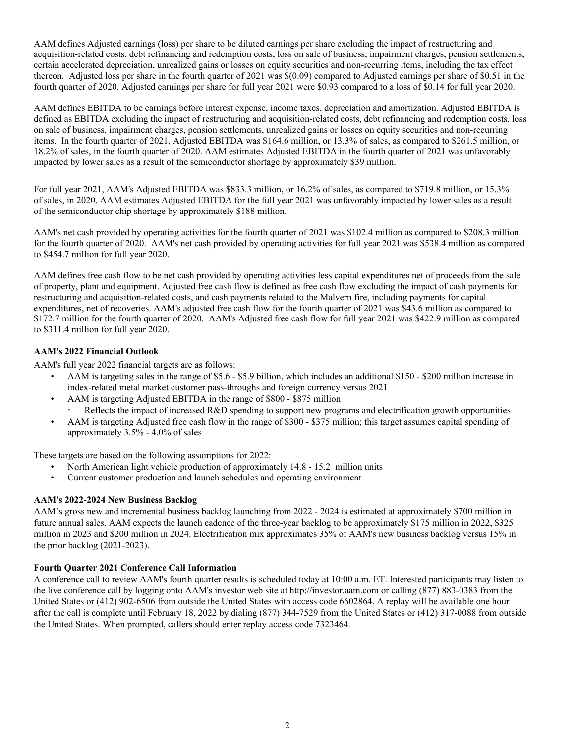AAM defines Adjusted earnings (loss) per share to be diluted earnings per share excluding the impact of restructuring and acquisition-related costs, debt refinancing and redemption costs, loss on sale of business, impairment charges, pension settlements, certain accelerated depreciation, unrealized gains or losses on equity securities and non-recurring items, including the tax effect thereon. Adjusted loss per share in the fourth quarter of 2021 was \$(0.09) compared to Adjusted earnings per share of \$0.51 in the fourth quarter of 2020. Adjusted earnings per share for full year 2021 were \$0.93 compared to a loss of \$0.14 for full year 2020.

AAM defines EBITDA to be earnings before interest expense, income taxes, depreciation and amortization. Adjusted EBITDA is defined as EBITDA excluding the impact of restructuring and acquisition-related costs, debt refinancing and redemption costs, loss on sale of business, impairment charges, pension settlements, unrealized gains or losses on equity securities and non-recurring items. In the fourth quarter of 2021, Adjusted EBITDA was \$164.6 million, or 13.3% of sales, as compared to \$261.5 million, or 18.2% of sales, in the fourth quarter of 2020. AAM estimates Adjusted EBITDA in the fourth quarter of 2021 was unfavorably impacted by lower sales as a result of the semiconductor shortage by approximately \$39 million.

For full year 2021, AAM's Adjusted EBITDA was \$833.3 million, or 16.2% of sales, as compared to \$719.8 million, or 15.3% of sales, in 2020. AAM estimates Adjusted EBITDA for the full year 2021 was unfavorably impacted by lower sales as a result of the semiconductor chip shortage by approximately \$188 million.

AAM's net cash provided by operating activities for the fourth quarter of 2021 was \$102.4 million as compared to \$208.3 million for the fourth quarter of 2020. AAM's net cash provided by operating activities for full year 2021 was \$538.4 million as compared to \$454.7 million for full year 2020.

AAM defines free cash flow to be net cash provided by operating activities less capital expenditures net of proceeds from the sale of property, plant and equipment. Adjusted free cash flow is defined as free cash flow excluding the impact of cash payments for restructuring and acquisition-related costs, and cash payments related to the Malvern fire, including payments for capital expenditures, net of recoveries. AAM's adjusted free cash flow for the fourth quarter of 2021 was \$43.6 million as compared to \$172.7 million for the fourth quarter of 2020. AAM's Adjusted free cash flow for full year 2021 was \$422.9 million as compared to \$311.4 million for full year 2020.

### **AAM's 2022 Financial Outlook**

AAM's full year 2022 financial targets are as follows:

- AAM is targeting sales in the range of \$5.6 \$5.9 billion, which includes an additional \$150 \$200 million increase in index-related metal market customer pass-throughs and foreign currency versus 2021
- AAM is targeting Adjusted EBITDA in the range of \$800 \$875 million
- Reflects the impact of increased R&D spending to support new programs and electrification growth opportunities
- AAM is targeting Adjusted free cash flow in the range of \$300 \$375 million; this target assumes capital spending of approximately 3.5% - 4.0% of sales

These targets are based on the following assumptions for 2022:

- North American light vehicle production of approximately 14.8 15.2 million units
- Current customer production and launch schedules and operating environment

### **AAM's 2022-2024 New Business Backlog**

AAM's gross new and incremental business backlog launching from 2022 - 2024 is estimated at approximately \$700 million in future annual sales. AAM expects the launch cadence of the three-year backlog to be approximately \$175 million in 2022, \$325 million in 2023 and \$200 million in 2024. Electrification mix approximates 35% of AAM's new business backlog versus 15% in the prior backlog (2021-2023).

# **Fourth Quarter 2021 Conference Call Information**

A conference call to review AAM's fourth quarter results is scheduled today at 10:00 a.m. ET. Interested participants may listen to the live conference call by logging onto AAM's investor web site at http://investor.aam.com or calling (877) 883-0383 from the United States or (412) 902-6506 from outside the United States with access code 6602864. A replay will be available one hour after the call is complete until February 18, 2022 by dialing (877) 344-7529 from the United States or (412) 317-0088 from outside the United States. When prompted, callers should enter replay access code 7323464.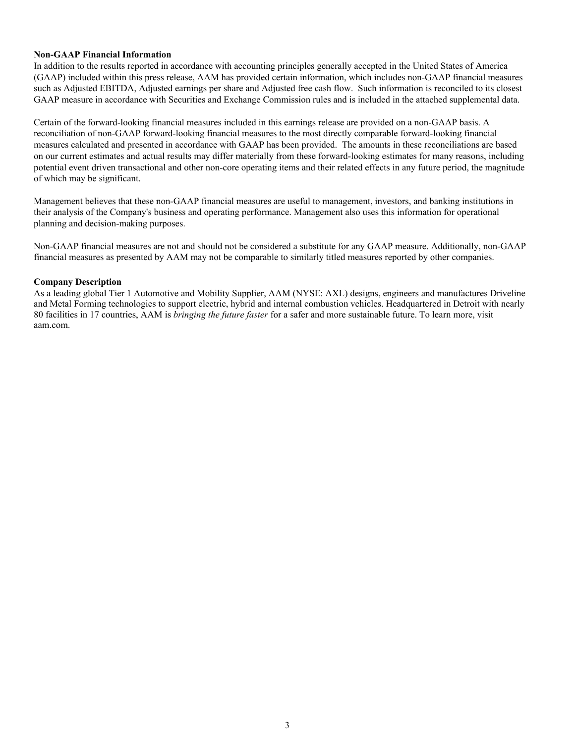### **Non-GAAP Financial Information**

In addition to the results reported in accordance with accounting principles generally accepted in the United States of America (GAAP) included within this press release, AAM has provided certain information, which includes non-GAAP financial measures such as Adjusted EBITDA, Adjusted earnings per share and Adjusted free cash flow. Such information is reconciled to its closest GAAP measure in accordance with Securities and Exchange Commission rules and is included in the attached supplemental data.

Certain of the forward-looking financial measures included in this earnings release are provided on a non-GAAP basis. A reconciliation of non-GAAP forward-looking financial measures to the most directly comparable forward-looking financial measures calculated and presented in accordance with GAAP has been provided. The amounts in these reconciliations are based on our current estimates and actual results may differ materially from these forward-looking estimates for many reasons, including potential event driven transactional and other non-core operating items and their related effects in any future period, the magnitude of which may be significant.

Management believes that these non-GAAP financial measures are useful to management, investors, and banking institutions in their analysis of the Company's business and operating performance. Management also uses this information for operational planning and decision-making purposes.

Non-GAAP financial measures are not and should not be considered a substitute for any GAAP measure. Additionally, non-GAAP financial measures as presented by AAM may not be comparable to similarly titled measures reported by other companies.

#### **Company Description**

As a leading global Tier 1 Automotive and Mobility Supplier, AAM (NYSE: AXL) designs, engineers and manufactures Driveline and Metal Forming technologies to support electric, hybrid and internal combustion vehicles. Headquartered in Detroit with nearly 80 facilities in 17 countries, AAM is *bringing the future faster* for a safer and more sustainable future. To learn more, visit aam.com.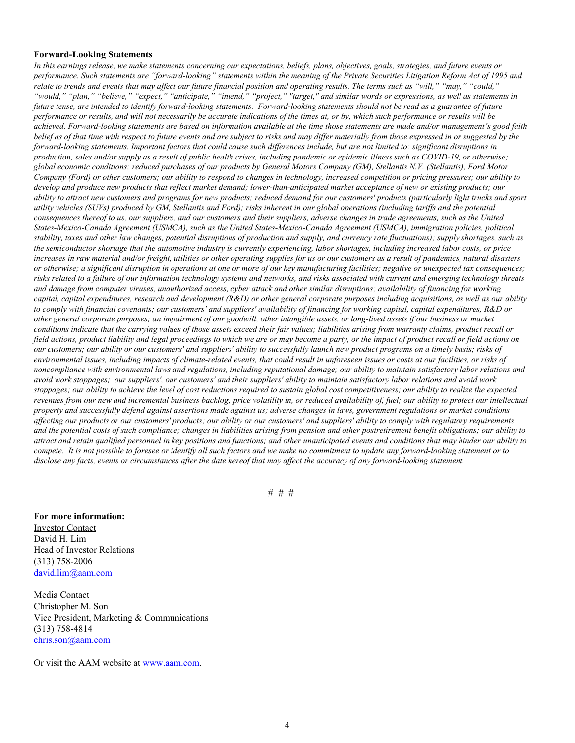#### **Forward-Looking Statements**

*In this earnings release, we make statements concerning our expectations, beliefs, plans, objectives, goals, strategies, and future events or performance. Such statements are "forward-looking" statements within the meaning of the Private Securities Litigation Reform Act of 1995 and relate to trends and events that may affect our future financial position and operating results. The terms such as "will," "may," "could," "would," "plan," "believe," "expect," "anticipate," "intend," "project," "target," and similar words or expressions, as well as statements in future tense, are intended to identify forward-looking statements. Forward-looking statements should not be read as a guarantee of future performance or results, and will not necessarily be accurate indications of the times at, or by, which such performance or results will be achieved. Forward-looking statements are based on information available at the time those statements are made and/or management's good faith belief as of that time with respect to future events and are subject to risks and may differ materially from those expressed in or suggested by the forward-looking statements. Important factors that could cause such differences include, but are not limited to: significant disruptions in production, sales and/or supply as a result of public health crises, including pandemic or epidemic illness such as COVID-19, or otherwise; global economic conditions; reduced purchases of our products by General Motors Company (GM), Stellantis N.V. (Stellantis), Ford Motor Company (Ford) or other customers; our ability to respond to changes in technology, increased competition or pricing pressures; our ability to develop and produce new products that reflect market demand; lower-than-anticipated market acceptance of new or existing products; our ability to attract new customers and programs for new products; reduced demand for our customers' products (particularly light trucks and sport utility vehicles (SUVs) produced by GM, Stellantis and Ford); risks inherent in our global operations (including tariffs and the potential consequences thereof to us, our suppliers, and our customers and their suppliers, adverse changes in trade agreements, such as the United States-Mexico-Canada Agreement (USMCA), such as the United States-Mexico-Canada Agreement (USMCA), immigration policies, political stability, taxes and other law changes, potential disruptions of production and supply, and currency rate fluctuations); supply shortages, such as the semiconductor shortage that the automotive industry is currently experiencing, labor shortages, including increased labor costs, or price increases in raw material and/or freight, utilities or other operating supplies for us or our customers as a result of pandemics, natural disasters or otherwise; a significant disruption in operations at one or more of our key manufacturing facilities; negative or unexpected tax consequences; risks related to a failure of our information technology systems and networks, and risks associated with current and emerging technology threats and damage from computer viruses, unauthorized access, cyber attack and other similar disruptions; availability of financing for working capital, capital expenditures, research and development (R&D) or other general corporate purposes including acquisitions, as well as our ability to comply with financial covenants; our customers' and suppliers' availability of financing for working capital, capital expenditures, R&D or other general corporate purposes; an impairment of our goodwill, other intangible assets, or long-lived assets if our business or market conditions indicate that the carrying values of those assets exceed their fair values; liabilities arising from warranty claims, product recall or field actions, product liability and legal proceedings to which we are or may become a party, or the impact of product recall or field actions on our customers; our ability or our customers' and suppliers' ability to successfully launch new product programs on a timely basis; risks of environmental issues, including impacts of climate-related events, that could result in unforeseen issues or costs at our facilities, or risks of noncompliance with environmental laws and regulations, including reputational damage; our ability to maintain satisfactory labor relations and avoid work stoppages; our suppliers', our customers' and their suppliers' ability to maintain satisfactory labor relations and avoid work stoppages; our ability to achieve the level of cost reductions required to sustain global cost competitiveness; our ability to realize the expected revenues from our new and incremental business backlog; price volatility in, or reduced availability of, fuel; our ability to protect our intellectual property and successfully defend against assertions made against us; adverse changes in laws, government regulations or market conditions affecting our products or our customers' products; our ability or our customers' and suppliers' ability to comply with regulatory requirements and the potential costs of such compliance; changes in liabilities arising from pension and other postretirement benefit obligations; our ability to attract and retain qualified personnel in key positions and functions; and other unanticipated events and conditions that may hinder our ability to compete. It is not possible to foresee or identify all such factors and we make no commitment to update any forward-looking statement or to disclose any facts, events or circumstances after the date hereof that may affect the accuracy of any forward-looking statement.*

# # #

#### **For more information:**

Investor Contact David H. Lim Head of Investor Relations (313) 758-2006 david.lim@aam.com

Media Contact Christopher M. Son Vice President, Marketing & Communications (313) 758-4814 chris.son@aam.com

Or visit the AAM website at www.aam.com.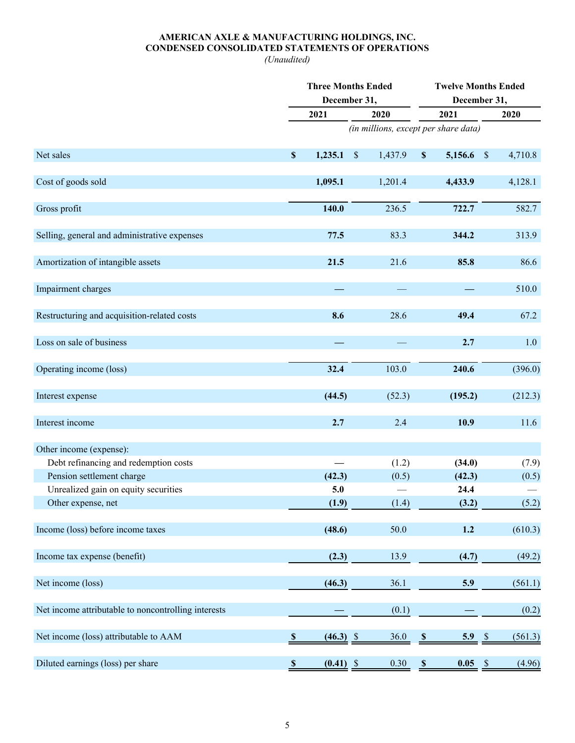# **AMERICAN AXLE & MANUFACTURING HOLDINGS, INC. CONDENSED CONSOLIDATED STATEMENTS OF OPERATIONS**

*(Unaudited)*

|                                                     |                                      | <b>Three Months Ended</b><br>December 31, |               |         |                           | <b>Twelve Months Ended</b> |  |         |  |  |  |
|-----------------------------------------------------|--------------------------------------|-------------------------------------------|---------------|---------|---------------------------|----------------------------|--|---------|--|--|--|
|                                                     |                                      |                                           |               |         |                           | December 31,               |  |         |  |  |  |
|                                                     |                                      | 2021                                      |               | 2020    |                           | 2021                       |  | 2020    |  |  |  |
|                                                     | (in millions, except per share data) |                                           |               |         |                           |                            |  |         |  |  |  |
| Net sales                                           | $\boldsymbol{\mathsf{S}}$            | 1,235.1                                   | $\mathcal{S}$ | 1,437.9 | $\mathbb S$               | 5,156.6 \$                 |  | 4,710.8 |  |  |  |
| Cost of goods sold                                  |                                      | 1,095.1                                   |               | 1,201.4 |                           | 4,433.9                    |  | 4,128.1 |  |  |  |
| Gross profit                                        |                                      | 140.0                                     |               | 236.5   |                           | 722.7                      |  | 582.7   |  |  |  |
| Selling, general and administrative expenses        |                                      | 77.5                                      |               | 83.3    |                           | 344.2                      |  | 313.9   |  |  |  |
| Amortization of intangible assets                   |                                      | 21.5                                      |               | 21.6    |                           | 85.8                       |  | 86.6    |  |  |  |
| Impairment charges                                  |                                      |                                           |               |         |                           |                            |  | 510.0   |  |  |  |
| Restructuring and acquisition-related costs         |                                      | 8.6                                       |               | 28.6    |                           | 49.4                       |  | 67.2    |  |  |  |
| Loss on sale of business                            |                                      |                                           |               |         |                           | 2.7                        |  | 1.0     |  |  |  |
| Operating income (loss)                             |                                      | 32.4                                      |               | 103.0   |                           | 240.6                      |  | (396.0) |  |  |  |
| Interest expense                                    |                                      | (44.5)                                    |               | (52.3)  |                           | (195.2)                    |  | (212.3) |  |  |  |
| Interest income                                     |                                      | 2.7                                       |               | 2.4     |                           | 10.9                       |  | 11.6    |  |  |  |
| Other income (expense):                             |                                      |                                           |               |         |                           |                            |  |         |  |  |  |
| Debt refinancing and redemption costs               |                                      |                                           |               | (1.2)   |                           | (34.0)                     |  | (7.9)   |  |  |  |
| Pension settlement charge                           |                                      | (42.3)                                    |               | (0.5)   |                           | (42.3)                     |  | (0.5)   |  |  |  |
| Unrealized gain on equity securities                |                                      | 5.0                                       |               |         |                           | 24.4                       |  |         |  |  |  |
| Other expense, net                                  |                                      | (1.9)                                     |               | (1.4)   |                           | (3.2)                      |  | (5.2)   |  |  |  |
| Income (loss) before income taxes                   |                                      | (48.6)                                    |               | 50.0    |                           | 1.2                        |  | (610.3) |  |  |  |
| Income tax expense (benefit)                        |                                      | (2.3)                                     |               | 13.9    |                           | (4.7)                      |  | (49.2)  |  |  |  |
| Net income (loss)                                   |                                      | (46.3)                                    |               | 36.1    |                           | 5.9                        |  | (561.1) |  |  |  |
| Net income attributable to noncontrolling interests |                                      |                                           |               | (0.1)   |                           |                            |  | (0.2)   |  |  |  |
| Net income (loss) attributable to AAM               | $\boldsymbol{\mathsf{S}}$            | $(46.3)$ \$                               |               | 36.0    | $\boldsymbol{\$}$         | 5.9 <sup>°</sup>           |  | (561.3) |  |  |  |
| Diluted earnings (loss) per share                   | S                                    | $(0.41)$ \$                               |               | 0.30    | $\boldsymbol{\mathsf{S}}$ | 0.05 S                     |  | (4.96)  |  |  |  |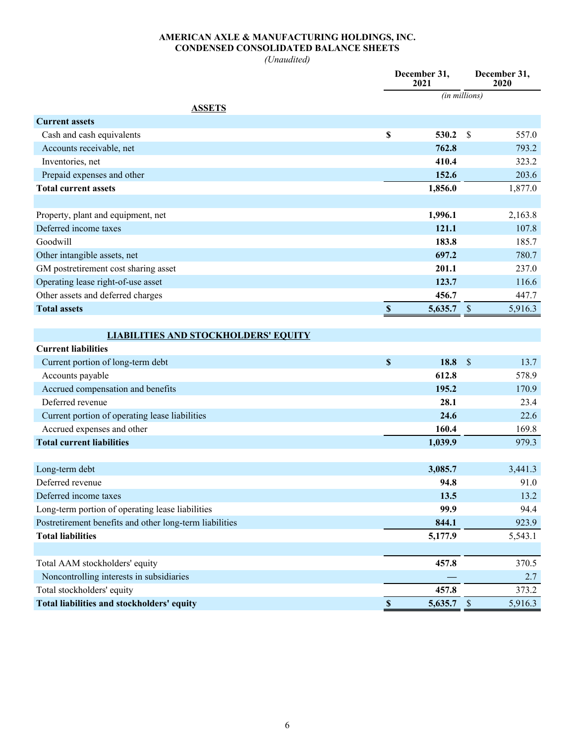# **AMERICAN AXLE & MANUFACTURING HOLDINGS, INC. CONDENSED CONSOLIDATED BALANCE SHEETS**

*(Unaudited)* 

|                                                         |                           | December 31,<br>2021 | December 31,<br>2020      |         |
|---------------------------------------------------------|---------------------------|----------------------|---------------------------|---------|
|                                                         | (in millions)             |                      |                           |         |
| <b>ASSETS</b><br><b>Current assets</b>                  |                           |                      |                           |         |
| Cash and cash equivalents                               | \$                        | 530.2                | $\mathcal{S}$             | 557.0   |
| Accounts receivable, net                                |                           | 762.8                |                           | 793.2   |
| Inventories, net                                        |                           | 410.4                |                           | 323.2   |
| Prepaid expenses and other                              |                           | 152.6                |                           | 203.6   |
| <b>Total current assets</b>                             |                           | 1,856.0              |                           | 1,877.0 |
|                                                         |                           |                      |                           |         |
| Property, plant and equipment, net                      |                           | 1,996.1              |                           | 2,163.8 |
| Deferred income taxes                                   |                           | 121.1                |                           | 107.8   |
| Goodwill                                                |                           | 183.8                |                           | 185.7   |
| Other intangible assets, net                            |                           | 697.2                |                           | 780.7   |
| GM postretirement cost sharing asset                    |                           | 201.1                |                           | 237.0   |
| Operating lease right-of-use asset                      |                           | 123.7                |                           | 116.6   |
| Other assets and deferred charges                       |                           | 456.7                |                           | 447.7   |
| <b>Total assets</b>                                     | $\boldsymbol{\mathsf{S}}$ | 5,635.7              | $\mathcal{S}$             | 5,916.3 |
|                                                         |                           |                      |                           |         |
| <b>LIABILITIES AND STOCKHOLDERS' EQUITY</b>             |                           |                      |                           |         |
| <b>Current liabilities</b>                              |                           |                      |                           |         |
| Current portion of long-term debt                       | $\boldsymbol{\mathsf{S}}$ | 18.8                 | $\boldsymbol{\mathsf{S}}$ | 13.7    |
| Accounts payable                                        |                           | 612.8                |                           | 578.9   |
| Accrued compensation and benefits                       |                           | 195.2                |                           | 170.9   |
| Deferred revenue                                        |                           | 28.1                 |                           | 23.4    |
| Current portion of operating lease liabilities          |                           | 24.6                 |                           | 22.6    |
| Accrued expenses and other                              |                           | 160.4                |                           | 169.8   |
| <b>Total current liabilities</b>                        |                           | 1,039.9              |                           | 979.3   |
|                                                         |                           |                      |                           |         |
| Long-term debt                                          |                           | 3,085.7              |                           | 3,441.3 |
| Deferred revenue                                        |                           | 94.8                 |                           | 91.0    |
| Deferred income taxes                                   |                           | 13.5                 |                           | 13.2    |
| Long-term portion of operating lease liabilities        |                           | 99.9                 |                           | 94.4    |
| Postretirement benefits and other long-term liabilities |                           | 844.1                |                           | 923.9   |
| <b>Total liabilities</b>                                |                           | 5,177.9              |                           | 5,543.1 |
|                                                         |                           |                      |                           |         |
| Total AAM stockholders' equity                          |                           | 457.8                |                           | 370.5   |
| Noncontrolling interests in subsidiaries                |                           |                      |                           | 2.7     |
| Total stockholders' equity                              |                           | 457.8                |                           | 373.2   |
| Total liabilities and stockholders' equity              | $\boldsymbol{\mathsf{S}}$ | $5,635.7$ \$         |                           | 5,916.3 |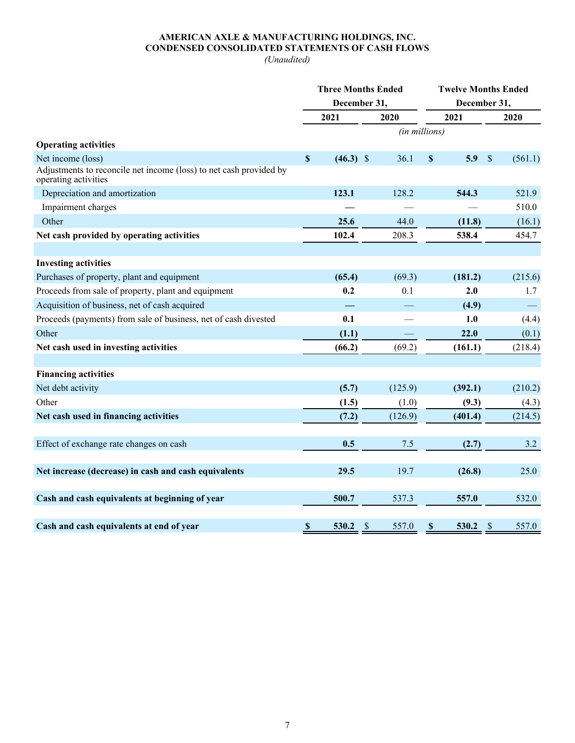# **AMERICAN AXLE & MANUFACTURING HOLDINGS, INC. CONDENSED CONSOLIDATED STATEMENTS OF CASH FLOWS**

*(Unaudited)* 

|                                                                                            |             | <b>Three Months Ended</b> | <b>Twelve Months Ended</b>         |                                  |               |         |  |
|--------------------------------------------------------------------------------------------|-------------|---------------------------|------------------------------------|----------------------------------|---------------|---------|--|
|                                                                                            |             | December 31,              |                                    | December 31,                     |               |         |  |
|                                                                                            |             | 2021                      | 2020                               | 2021                             |               | 2020    |  |
|                                                                                            |             |                           |                                    | (in millions)                    |               |         |  |
| <b>Operating activities</b>                                                                |             |                           |                                    |                                  |               |         |  |
| Net income (loss)                                                                          | \$          | $(46.3)$ \$               | 36.1                               | 5.9<br>$\boldsymbol{\mathsf{S}}$ | $\mathcal{S}$ | (561.1) |  |
| Adjustments to reconcile net income (loss) to net cash provided by<br>operating activities |             |                           |                                    |                                  |               |         |  |
| Depreciation and amortization                                                              |             | 123.1                     | 128.2                              | 544.3                            |               | 521.9   |  |
| Impairment charges                                                                         |             |                           |                                    |                                  |               | 510.0   |  |
| Other                                                                                      |             | 25.6                      | 44.0                               | (11.8)                           |               | (16.1)  |  |
| Net cash provided by operating activities                                                  |             | 102.4                     | 208.3                              | 538.4                            |               | 454.7   |  |
|                                                                                            |             |                           |                                    |                                  |               |         |  |
| <b>Investing activities</b>                                                                |             |                           |                                    |                                  |               |         |  |
| Purchases of property, plant and equipment                                                 |             | (65.4)                    | (69.3)                             | (181.2)                          |               | (215.6) |  |
| Proceeds from sale of property, plant and equipment                                        |             | 0.2                       | 0.1                                | 2.0                              |               | 1.7     |  |
| Acquisition of business, net of cash acquired                                              |             |                           |                                    | (4.9)                            |               |         |  |
| Proceeds (payments) from sale of business, net of cash divested                            |             | 0.1                       |                                    | 1.0                              |               | (4.4)   |  |
| Other                                                                                      |             | (1.1)                     |                                    | 22.0                             |               | (0.1)   |  |
| Net cash used in investing activities                                                      |             | (66.2)                    | (69.2)                             | (161.1)                          |               | (218.4) |  |
|                                                                                            |             |                           |                                    |                                  |               |         |  |
| <b>Financing activities</b>                                                                |             |                           |                                    |                                  |               |         |  |
| Net debt activity                                                                          |             | (5.7)                     | (125.9)                            | (392.1)                          |               | (210.2) |  |
| Other                                                                                      |             | (1.5)                     | (1.0)                              | (9.3)                            |               | (4.3)   |  |
| Net cash used in financing activities                                                      |             | (7.2)                     | (126.9)                            | (401.4)                          |               | (214.5) |  |
|                                                                                            |             |                           |                                    |                                  |               |         |  |
| Effect of exchange rate changes on cash                                                    |             | 0.5                       | 7.5                                | (2.7)                            |               | 3.2     |  |
| Net increase (decrease) in cash and cash equivalents                                       |             | 29.5                      | 19.7                               | (26.8)                           |               | 25.0    |  |
| Cash and cash equivalents at beginning of year                                             |             | 500.7                     | 537.3                              | 557.0                            |               | 532.0   |  |
| Cash and cash equivalents at end of year                                                   | $\mathbb S$ | 530.2                     | $\boldsymbol{\mathsf{S}}$<br>557.0 | $\mathbb S$<br>530.2             | $\sqrt{3}$    | 557.0   |  |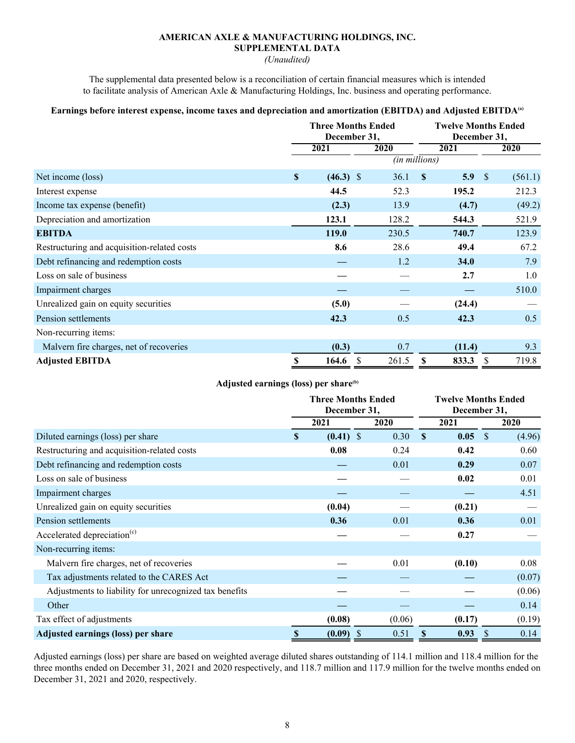#### **AMERICAN AXLE & MANUFACTURING HOLDINGS, INC. SUPPLEMENTAL DATA**

# *(Unaudited)*

The supplemental data presented below is a reconciliation of certain financial measures which is intended to facilitate analysis of American Axle & Manufacturing Holdings, Inc. business and operating performance.

#### **Earnings before interest expense, income taxes and depreciation and amortization (EBITDA) and Adjusted EBITDA(a)**

|                                             | <b>Three Months Ended</b><br>December 31, |             |            |                 | <b>Twelve Months Ended</b><br>December 31, |              |         |  |  |
|---------------------------------------------|-------------------------------------------|-------------|------------|-----------------|--------------------------------------------|--------------|---------|--|--|
|                                             |                                           | 2021        | 2020       | 2021            |                                            |              | 2020    |  |  |
|                                             |                                           |             |            | $(in$ millions) |                                            |              |         |  |  |
| Net income (loss)                           | $\boldsymbol{\mathsf{S}}$                 | $(46.3)$ \$ | 36.1       | $\mathbf{s}$    | 5.9                                        | <sup>S</sup> | (561.1) |  |  |
| Interest expense                            |                                           | 44.5        | 52.3       |                 | 195.2                                      |              | 212.3   |  |  |
| Income tax expense (benefit)                |                                           | (2.3)       | 13.9       |                 | (4.7)                                      |              | (49.2)  |  |  |
| Depreciation and amortization               |                                           | 123.1       | 128.2      |                 | 544.3                                      |              | 521.9   |  |  |
| <b>EBITDA</b>                               |                                           | 119.0       | 230.5      |                 | 740.7                                      |              | 123.9   |  |  |
| Restructuring and acquisition-related costs |                                           | 8.6         | 28.6       |                 | 49.4                                       |              | 67.2    |  |  |
| Debt refinancing and redemption costs       |                                           |             | 1.2        |                 | 34.0                                       |              | 7.9     |  |  |
| Loss on sale of business                    |                                           |             |            |                 | 2.7                                        |              | 1.0     |  |  |
| Impairment charges                          |                                           |             |            |                 |                                            |              | 510.0   |  |  |
| Unrealized gain on equity securities        |                                           | (5.0)       |            |                 | (24.4)                                     |              |         |  |  |
| Pension settlements                         |                                           | 42.3        | 0.5        |                 | 42.3                                       |              | 0.5     |  |  |
| Non-recurring items:                        |                                           |             |            |                 |                                            |              |         |  |  |
| Malvern fire charges, net of recoveries     |                                           | (0.3)       | 0.7        |                 | (11.4)                                     |              | 9.3     |  |  |
| <b>Adjusted EBITDA</b>                      | S                                         | 164.6       | 261.5<br>S | S               | 833.3                                      | -S           | 719.8   |  |  |

### **Adjusted earnings (loss) per share(b)**

|                                                        |               | <b>Three Months Ended</b><br>December 31, |        |                       | <b>Twelve Months Ended</b><br>December 31, |
|--------------------------------------------------------|---------------|-------------------------------------------|--------|-----------------------|--------------------------------------------|
|                                                        |               | 2021<br>2020                              |        | 2021                  | 2020                                       |
| Diluted earnings (loss) per share                      | S             | $(0.41)$ \$                               | 0.30   | 0.05<br>S             | $\mathcal{S}$<br>(4.96)                    |
| Restructuring and acquisition-related costs            |               | 0.08                                      | 0.24   | 0.42                  | 0.60                                       |
| Debt refinancing and redemption costs                  |               |                                           | 0.01   | 0.29                  | 0.07                                       |
| Loss on sale of business                               |               |                                           |        | 0.02                  | 0.01                                       |
| Impairment charges                                     |               |                                           |        |                       | 4.51                                       |
| Unrealized gain on equity securities                   |               | (0.04)                                    |        | (0.21)                |                                            |
| Pension settlements                                    |               | 0.36                                      | 0.01   | 0.36                  | 0.01                                       |
| Accelerated depreciation <sup>(c)</sup>                |               |                                           |        | 0.27                  |                                            |
| Non-recurring items:                                   |               |                                           |        |                       |                                            |
| Malvern fire charges, net of recoveries                |               |                                           | 0.01   | (0.10)                | 0.08                                       |
| Tax adjustments related to the CARES Act               |               |                                           |        |                       | (0.07)                                     |
| Adjustments to liability for unrecognized tax benefits |               |                                           |        |                       | (0.06)                                     |
| Other                                                  |               |                                           |        |                       | 0.14                                       |
| Tax effect of adjustments                              |               | (0.08)                                    | (0.06) | (0.17)                | (0.19)                                     |
| Adjusted earnings (loss) per share                     | $\mathbf{\$}$ | $(0.09)$ \$                               | 0.51   | 0.93<br><sup>\$</sup> | 0.14<br><sup>S</sup>                       |

Adjusted earnings (loss) per share are based on weighted average diluted shares outstanding of 114.1 million and 118.4 million for the three months ended on December 31, 2021 and 2020 respectively, and 118.7 million and 117.9 million for the twelve months ended on December 31, 2021 and 2020, respectively.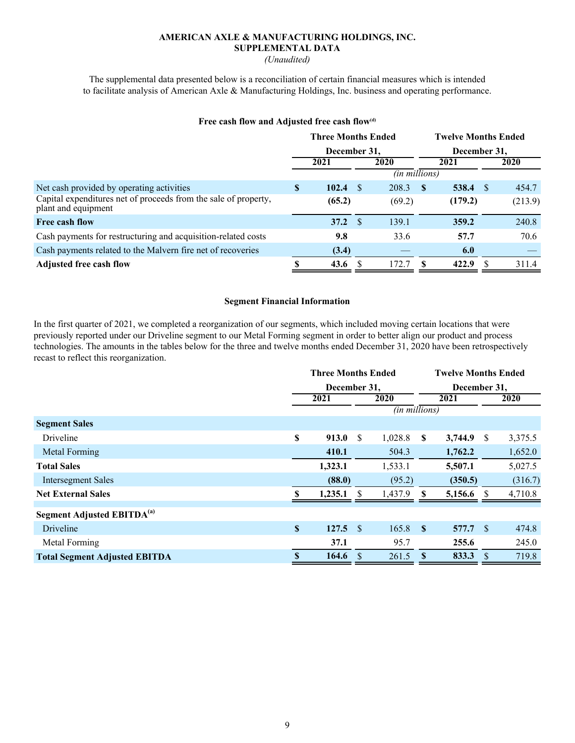#### **AMERICAN AXLE & MANUFACTURING HOLDINGS, INC. SUPPLEMENTAL DATA**

*(Unaudited)* 

The supplemental data presented below is a reconciliation of certain financial measures which is intended to facilitate analysis of American Axle & Manufacturing Holdings, Inc. business and operating performance.

| Free cash flow and Adjusted free cash flow <sup>(d)</sup> |  |  |  |
|-----------------------------------------------------------|--|--|--|
|                                                           |  |  |  |

|                                                                                        | <b>Three Months Ended</b> |        |      | <b>Twelve Months Ended</b> |    |              |     |             |
|----------------------------------------------------------------------------------------|---------------------------|--------|------|----------------------------|----|--------------|-----|-------------|
|                                                                                        | December 31,              |        |      |                            |    | December 31, |     |             |
|                                                                                        | 2021                      |        |      | 2020                       |    | 2021         |     | <b>2020</b> |
|                                                                                        |                           |        |      | $(in$ millions)            |    |              |     |             |
| Net cash provided by operating activities                                              | $\mathbf{s}$              | 102.4  | ∣S.  | 208.3                      | -S | 538.4        | - S | 454.7       |
| Capital expenditures net of proceeds from the sale of property,<br>plant and equipment |                           | (65.2) |      | (69.2)                     |    | (179.2)      |     | (213.9)     |
| Free cash flow                                                                         |                           | 37.2   | - \$ | 139.1                      |    | 359.2        |     | 240.8       |
| Cash payments for restructuring and acquisition-related costs                          |                           | 9.8    |      | 33.6                       |    | 57.7         |     | 70.6        |
| Cash payments related to the Malvern fire net of recoveries                            |                           | (3.4)  |      |                            |    | 6.0          |     |             |
| <b>Adjusted free cash flow</b>                                                         |                           | 43.6   |      | 172.7                      | S. | 422.9        |     | 311.4       |

### **Segment Financial Information**

In the first quarter of 2021, we completed a reorganization of our segments, which included moving certain locations that were previously reported under our Driveline segment to our Metal Forming segment in order to better align our product and process technologies. The amounts in the tables below for the three and twelve months ended December 31, 2020 have been retrospectively recast to reflect this reorganization.

|                                        |              | <b>Three Months Ended</b> |      |                | <b>Twelve Months Ended</b> |              |              |         |  |
|----------------------------------------|--------------|---------------------------|------|----------------|----------------------------|--------------|--------------|---------|--|
|                                        |              | December 31,              |      |                |                            | December 31, |              |         |  |
|                                        |              | 2021                      | 2020 |                | 2021                       |              |              | 2020    |  |
|                                        |              |                           |      | $(n$ millions) |                            |              |              |         |  |
| <b>Segment Sales</b>                   |              |                           |      |                |                            |              |              |         |  |
| Driveline                              | \$           | 913.0                     | \$   | 1,028.8        | S                          | 3,744.9      | <sup>S</sup> | 3,375.5 |  |
| Metal Forming                          |              | 410.1                     |      | 504.3          |                            | 1,762.2      |              | 1,652.0 |  |
| <b>Total Sales</b>                     |              | 1,323.1                   |      | 1,533.1        |                            | 5,507.1      |              | 5,027.5 |  |
| <b>Intersegment Sales</b>              |              | (88.0)                    |      | (95.2)         |                            | (350.5)      |              | (316.7) |  |
| <b>Net External Sales</b>              |              | 1,235.1                   |      | 1,437.9        | S                          | 5,156.6      |              | 4,710.8 |  |
| Segment Adjusted EBITDA <sup>(a)</sup> |              |                           |      |                |                            |              |              |         |  |
| Driveline                              | $\mathbf{s}$ | $127.5$ \$                |      | 165.8          | - \$                       | 577.7        | - \$         | 474.8   |  |
| Metal Forming                          |              | 37.1                      |      | 95.7           |                            | 255.6        |              | 245.0   |  |
| <b>Total Segment Adjusted EBITDA</b>   | S            | 164.6                     | \$   | 261.5          | <sup>\$</sup>              | 833.3        | -S           | 719.8   |  |